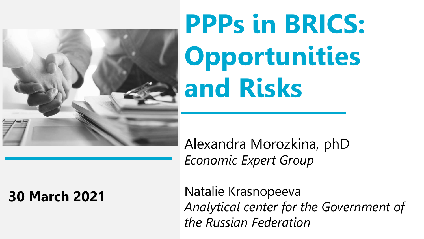

# **PPPs in BRICS: Opportunities and Risks**

### Alexandra Morozkina, phD *Economic Expert Group*

### **30 March 2021**

Natalie Krasnopeeva *Analytical center for the Government of the Russian Federation*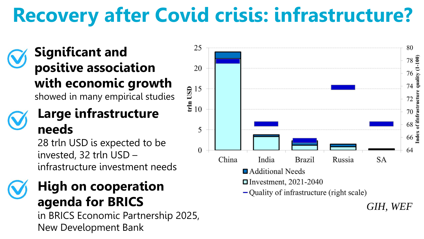# **Recovery after Covid crisis: infrastructure?**

#### **Significant and positive association with economic growth** showed in many empirical studies

#### **Large infrastructure needs**

28 trln USD is expected to be invested, 32 trln USD – infrastructure investment needs

### **High on cooperation agenda for BRICS**

in BRICS Economic Partnership 2025, New Development Bank

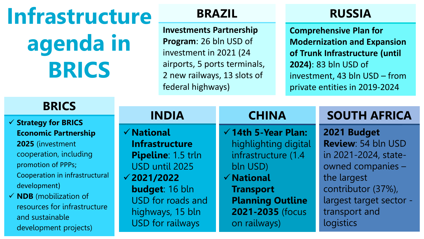**Infrastructure agenda in BRICS**

**BRICS**

**Investments Partnership Program**: 26 bln USD of investment in 2021 (24 airports, 5 ports terminals, 2 new railways, 13 slots of federal highways)

#### **BRAZIL RUSSIA**

**Comprehensive Plan for Modernization and Expansion of Trunk Infrastructure (until 2024)**: 83 bln USD of investment, 43 bln USD – from private entities in 2019-2024

| <b>BRILS</b>                      |                       |                                |                         |  |  |
|-----------------------------------|-----------------------|--------------------------------|-------------------------|--|--|
| $\checkmark$ Strategy for BRICS   | <b>INDIA</b>          | <b>CHINA</b>                   | <b>SOUTH AFRICA</b>     |  |  |
| <b>Economic Partnership</b>       | $\checkmark$ National | $\checkmark$ 14th 5-Year Plan: | 2021 Budget             |  |  |
| 2025 (investment                  | <b>Infrastructure</b> | highlighting digital           | Review: 54 bln USD      |  |  |
| cooperation, including            | Pipeline: 1.5 trln    | infrastructure (1.4            | in 2021-2024, state-    |  |  |
| promotion of PPPs;                | USD until 2025        | bln USD)                       | owned companies -       |  |  |
| Cooperation in infrastructural    | $\sqrt{2021/2022}$    | $\checkmark$ National          | the largest             |  |  |
| development)                      | <b>budget: 16 bln</b> | <b>Transport</b>               | contributor (37%),      |  |  |
| $\checkmark$ NDB (mobilization of | USD for roads and     | <b>Planning Outline</b>        | largest target sector - |  |  |
| resources for infrastructure      | highways, 15 bln      | 2021-2035 (focus               | transport and           |  |  |
| and sustainable                   | USD for railways      | on railways)                   | logistics               |  |  |
| development projects)             |                       |                                |                         |  |  |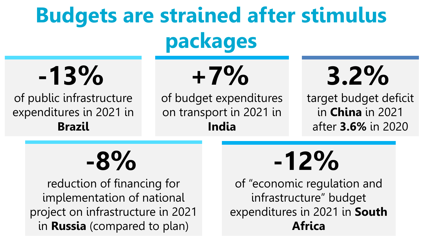# **Budgets are strained after stimulus packages**

**-13%**

of public infrastructure expenditures in 2021 in **Brazil**

**+7%**

of budget expenditures on transport in 2021 in **India**

# **3.2%**

target budget deficit in **China** in 2021 after **3.6%** in 2020

**-8%**

reduction of financing for implementation of national project on infrastructure in 2021 in **Russia** (compared to plan)

# **-12%**

of "economic regulation and infrastructure" budget expenditures in 2021 in **South Africa**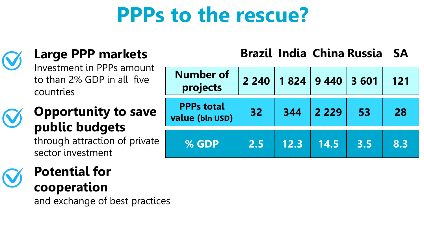# **PPPs to the rescue?**



#### **Large PPP markets**

Investment in PPPs amount to than 2% GDP in all five countries

## **Opportunity to save public budgets**

through attraction of private sector investment

# **Potential for**

**cooperation** 

and exchange of best practices

#### **Brazil India China Russia SA**

| <b>Number of</b><br>projects         | 2 2 4 0 |      | 1 824 9 440 3 601 |     | 121 |
|--------------------------------------|---------|------|-------------------|-----|-----|
| <b>PPPs total</b><br>value (bln USD) | 32      | 344  | 2 2 2 9           | 53  | 28  |
| % GDP                                | 2.5     | 12.3 | 14.5              | 3.5 | 8.3 |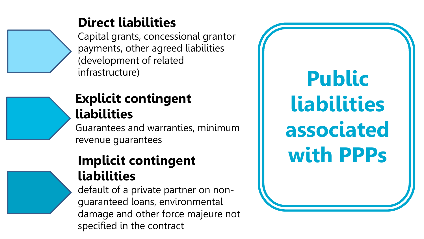### **Direct liabilities**

Capital grants, concessional grantor payments, other agreed liabilities (development of related infrastructure)

### **Explicit contingent liabilities**

Guarantees and warranties, minimum revenue guarantees

#### **Implicit contingent liabilities**

default of a private partner on nonguaranteed loans, environmental damage and other force majeure not specified in the contract

**Public liabilities associated with PPPs**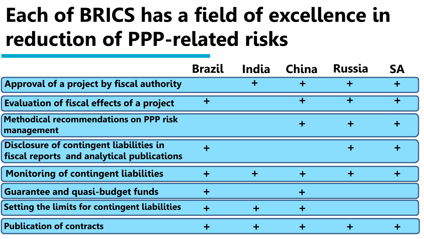# **Each of BRICS has a field of excellence in reduction of PPP-related risks**

|                                                                                       | <b>Brazil</b>        | India | China | <b>Russia</b> | <b>SA</b> |
|---------------------------------------------------------------------------------------|----------------------|-------|-------|---------------|-----------|
| Approval of a project by fiscal authority                                             |                      |       |       |               |           |
| <b>Evaluation of fiscal effects of a project</b>                                      | ÷                    |       | ┿     | ٠             |           |
| Methodical recommendations on PPP risk<br>management                                  |                      |       |       |               |           |
| Disclosure of contingent liabilities in<br>fiscal reports and analytical publications |                      |       |       |               |           |
| <b>Monitoring of contingent liabilities</b>                                           | $\ddot{\phantom{1}}$ |       |       |               |           |
| <b>Guarantee and quasi-budget funds</b>                                               |                      |       |       |               |           |
| Setting the limits for contingent liabilities                                         |                      |       |       |               |           |
| <b>Publication of contracts</b>                                                       |                      |       |       |               |           |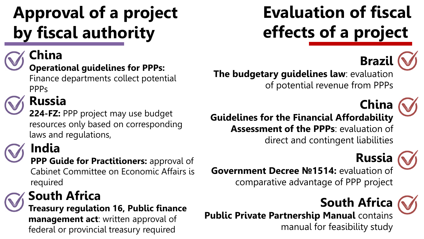# **Approval of a project by fiscal authority**

#### **China**

#### **Operational guidelines for PPPs:**

Finance departments collect potential PPPs

### **Russia**

**224-FZ:** PPP project may use budget resources only based on corresponding laws and regulations,

# **India**

**PPP Guide for Practitioners:** approval of Cabinet Committee on Economic Affairs is required

### **South Africa**

**Treasury regulation 16, Public finance management act**: written approval of federal or provincial treasury required

# **Evaluation of fiscal effects of a project**



**The budgetary guidelines law**: evaluation of potential revenue from PPPs



**Guidelines for the Financial Affordability Assessment of the PPPs**: evaluation of direct and contingent liabilities



**Government Decree №1514:** evaluation of comparative advantage of PPP project

## **South Africa**



**Public Private Partnership Manual** contains manual for feasibility study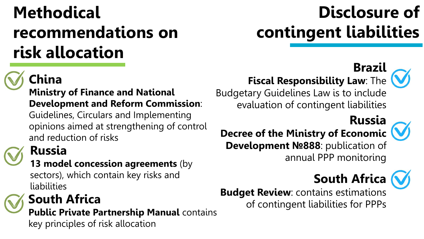# **Methodical recommendations on risk allocation**

# **China**

#### **Ministry of Finance and National Development and Reform Commission**:

Guidelines, Circulars and Implementing opinions aimed at strengthening of control and reduction of risks

## **Russia**

#### **13 model concession agreements** (by

sectors), which contain key risks and **liabilities** 

**Public Private Partnership Manual** contains key principles of risk allocation

# **Disclosure of contingent liabilities**

## **Brazil**

## **Fiscal Responsibility Law: The**  $\left(\bigvee$

Budgetary Guidelines Law is to include evaluation of contingent liabilities

# **Russia**



#### **Decree of the Ministry of Economic Development №888**: publication of

annual PPP monitoring

# **South Africa**

**Budget Review**: contains estimations **South Africa South Africa South Africa South Africa South Africa South Africa South Africa South Africa South Africa South Africa South Africa South Africa South Africa CONSISTENT CONSISTENT**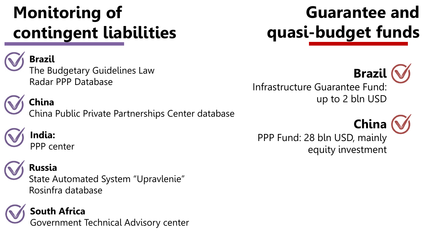# **Monitoring of contingent liabilities**

#### **Brazil**

The Budgetary Guidelines Law Radar PPP Database

China Public Private Partnerships Center database

**Guarantee and quasi-budget funds**

equity investment

**Brazil** Infrastructure Guarantee Fund: up to 2 bln USD **China**

PPP Fund: 28 bln USD, mainly

**China**

**India:** PPP center

#### **Russia**

State Automated System "Upravlenie" Rosinfra database



**South Africa**

Government Technical Advisory center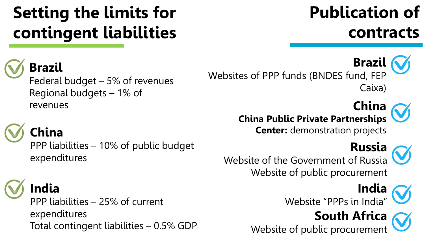# **Setting the limits for contingent liabilities**

**Brazil**

Federal budget – 5% of revenues Regional budgets – 1% of revenues

## **China**

PPP liabilities – 10% of public budget expenditures

# **India**

PPP liabilities – 25% of current expenditures Total contingent liabilities – 0.5% GDP

# **Publication of contracts**

**Brazil** Websites of PPP funds (BNDES fund, FEP Caixa)

**China**

**China Public Private Partnerships Center:** demonstration projects



**Russia** Website of the Government of Russia Website of public procurement



Website "PPPs in India"

# **South Africa**

Website of public procurement